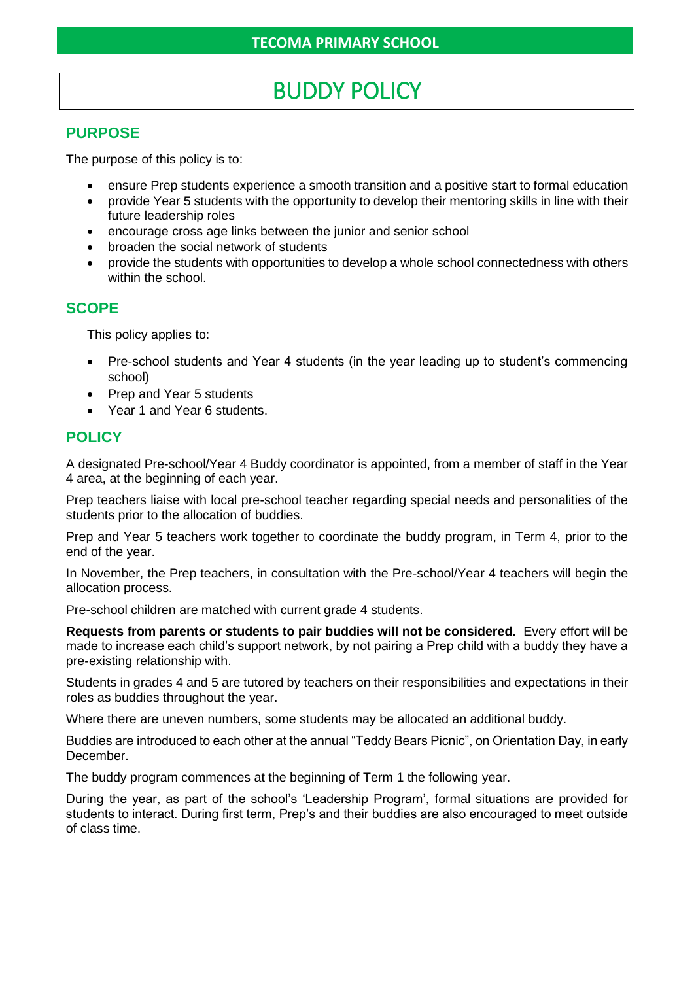# BUDDY POLICY

#### **PURPOSE**

The purpose of this policy is to:

- ensure Prep students experience a smooth transition and a positive start to formal education
- provide Year 5 students with the opportunity to develop their mentoring skills in line with their future leadership roles
- encourage cross age links between the junior and senior school
- broaden the social network of students
- provide the students with opportunities to develop a whole school connectedness with others within the school.

### **SCOPE**

This policy applies to:

- Pre-school students and Year 4 students (in the year leading up to student's commencing school)
- Prep and Year 5 students
- Year 1 and Year 6 students.

#### **POLICY**

A designated Pre-school/Year 4 Buddy coordinator is appointed, from a member of staff in the Year 4 area, at the beginning of each year.

Prep teachers liaise with local pre-school teacher regarding special needs and personalities of the students prior to the allocation of buddies.

Prep and Year 5 teachers work together to coordinate the buddy program, in Term 4, prior to the end of the year.

In November, the Prep teachers, in consultation with the Pre-school/Year 4 teachers will begin the allocation process.

Pre-school children are matched with current grade 4 students.

**Requests from parents or students to pair buddies will not be considered.** Every effort will be made to increase each child's support network, by not pairing a Prep child with a buddy they have a pre-existing relationship with.

Students in grades 4 and 5 are tutored by teachers on their responsibilities and expectations in their roles as buddies throughout the year.

Where there are uneven numbers, some students may be allocated an additional buddy.

Buddies are introduced to each other at the annual "Teddy Bears Picnic", on Orientation Day, in early December.

The buddy program commences at the beginning of Term 1 the following year.

During the year, as part of the school's 'Leadership Program', formal situations are provided for students to interact. During first term, Prep's and their buddies are also encouraged to meet outside of class time.